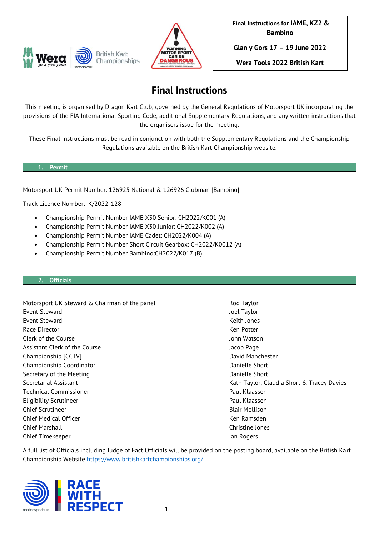



**Glan y Gors 17 – 19 June 2022**

**Wera Tools 2022 British Kart Championship**

# **Final Instructions**

This meeting is organised by Dragon Kart Club, governed by the General Regulations of Motorsport UK incorporating the provisions of the FIA International Sporting Code, additional Supplementary Regulations, and any written instructions that the organisers issue for the meeting.

These Final instructions must be read in conjunction with both the Supplementary Regulations and the Championship Regulations available on the British Kart Championship website.

#### **1. Permit**

Motorsport UK Permit Number: 126925 National & 126926 Clubman [Bambino]

Track Licence Number: K/2022\_128

- Championship Permit Number IAME X30 Senior: CH2022/K001 (A)
- Championship Permit Number IAME X30 Junior: CH2022/K002 (A)
- Championship Permit Number IAME Cadet: CH2022/K004 (A)
- Championship Permit Number Short Circuit Gearbox: CH2022/K0012 (A)
- Championship Permit Number Bambino:CH2022/K017 (B)

#### **2. Officials**

Motorsport UK Steward & Chairman of the panel Motorsport DR Rod Taylor Event Steward Joel Taylor Event Steward **Keith Jones** Event Steward **Keith Jones** Race Director **Contract Contract Contract Contract Contract Contract Contract Contract Contract Contract Contract Contract Contract Contract Contract Contract Contract Contract Contract Contract Contract Contract Contract** Clerk of the Course John Watson Assistant Clerk of the Course Jacob Page Jacob Page Championship [CCTV] David Manchester Championship Coordinator **Danielle Short** Danielle Short Secretary of the Meeting Danielle Short Control of the Meeting Danielle Short Danielle Short Secretarial Assistant **Kath Taylor, Claudia Short & Tracey Davies** Secretarial Assistant Technical Commissioner **Paul Klaassen** Eligibility Scrutineer **Paul Klaassen** Paul Klaassen Chief Scrutineer Blair Mollison Chief Medical Officer National According to the Chief Medical Officer National According to the Chief Medical O Chief Marshall Christine Jones Chief Timekeeper **Ian Rogers** Ian Rogers **Ian Rogers** 

A full list of Officials including Judge of Fact Officials will be provided on the posting board, available on the British Kart Championship Website<https://www.britishkartchampionships.org/>

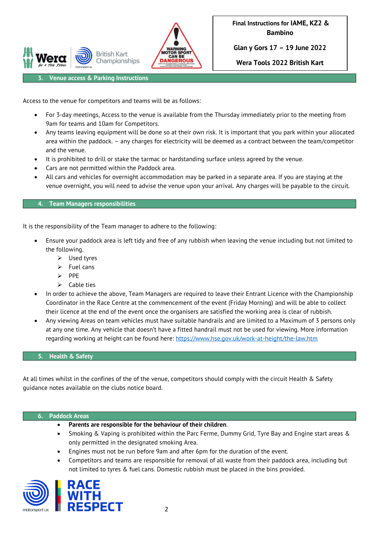

**Glan y Gors 17 – 19 June 2022**

**Wera Tools 2022 British Kart Championship**

**3. Venue access & Parking Instructions**

Access to the venue for competitors and teams will be as follows:

**British Kart** 

Championships

- For 3-day meetings, Access to the venue is available from the Thursday immediately prior to the meeting from 9am for teams and 10am for Competitors.
- Any teams leaving equipment will be done so at their own risk. It is important that you park within your allocated area within the paddock. – any charges for electricity will be deemed as a contract between the team/competitor and the venue.
- It is prohibited to drill or stake the tarmac or hardstanding surface unless agreed by the venue.
- Cars are not permitted within the Paddock area.
- All cars and vehicles for overnight accommodation may be parked in a separate area. If you are staying at the venue overnight, you will need to advise the venue upon your arrival. Any charges will be payable to the circuit.

#### **4. Team Managers responsibilities**

It is the responsibility of the Team manager to adhere to the following:

- Ensure your paddock area is left tidy and free of any rubbish when leaving the venue including but not limited to the following.
	- ➢ Used tyres
	- $\triangleright$  Fuel cans
	- ➢ PPE
	- $\triangleright$  Cable ties
- In order to achieve the above, Team Managers are required to leave their Entrant Licence with the Championship Coordinator in the Race Centre at the commencement of the event (Friday Morning) and will be able to collect their licence at the end of the event once the organisers are satisfied the working area is clear of rubbish.
- Any viewing Areas on team vehicles must have suitable handrails and are limited to a Maximum of 3 persons only at any one time. Any vehicle that doesn't have a fitted handrail must not be used for viewing. More information regarding working at height can be found here:<https://www.hse.gov.uk/work-at-height/the-law.htm>

#### **5. Health & Safety**

At all times whilst in the confines of the of the venue, competitors should comply with the circuit Health & Safety guidance notes available on the clubs notice board.

#### **6. Paddock Areas**

- **Parents are responsible for the behaviour of their children**.
- Smoking & Vaping is prohibited within the Parc Ferme, Dummy Grid, Tyre Bay and Engine start areas & only permitted in the designated smoking Area.
- Engines must not be run before 9am and after 6pm for the duration of the event.
- Competitors and teams are responsible for removal of all waste from their paddock area, including but not limited to tyres & fuel cans. Domestic rubbish must be placed in the bins provided.

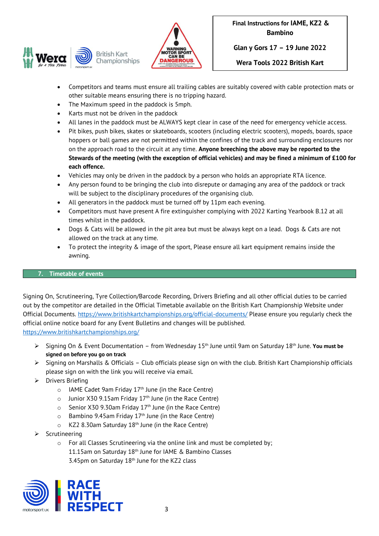



**Glan y Gors 17 – 19 June 2022**

**Wera Tools 2022 British Kart Championship**

- Competitors and teams must ensure all trailing cables are suitably covered with cable protection mats or other suitable means ensuring there is no tripping hazard.
- The Maximum speed in the paddock is 5mph.
- Karts must not be driven in the paddock
- All lanes in the paddock must be ALWAYS kept clear in case of the need for emergency vehicle access.
- Pit bikes, push bikes, skates or skateboards, scooters (including electric scooters), mopeds, boards, space hoppers or ball games are not permitted within the confines of the track and surrounding enclosures nor on the approach road to the circuit at any time. **Anyone breeching the above may be reported to the Stewards of the meeting (with the exception of official vehicles) and may be fined a minimum of £100 for each offence.**
- Vehicles may only be driven in the paddock by a person who holds an appropriate RTA licence.
- Any person found to be bringing the club into disrepute or damaging any area of the paddock or track will be subject to the disciplinary procedures of the organising club.
- All generators in the paddock must be turned off by 11pm each evening.
- Competitors must have present A fire extinguisher complying with 2022 Karting Yearbook B.12 at all times whilst in the paddock.
- Dogs & Cats will be allowed in the pit area but must be always kept on a lead. Dogs & Cats are not allowed on the track at any time.
- To protect the integrity & image of the sport, Please ensure all kart equipment remains inside the awning.

# **7. Timetable of events**

Signing On, Scrutineering, Tyre Collection/Barcode Recording, Drivers Briefing and all other official duties to be carried out by the competitor are detailed in the Official Timetable available on the British Kart Championship Website under Official Documents.<https://www.britishkartchampionships.org/official-documents/> Please ensure you regularly check the official online notice board for any Event Bulletins and changes will be published. <https://www.britishkartchampionships.org/>

➢ Signing On & Event Documentation – from Wednesday 15th June until 9am on Saturday 18th June. **You must be signed on before you go on track** 

- ➢ Signing on Marshalls & Officials Club officials please sign on with the club. British Kart Championship officials please sign on with the link you will receive via email.
- ➢ Drivers Briefing
	- $\circ$  IAME Cadet 9am Friday 17<sup>th</sup> June (in the Race Centre)
	- $\circ$  Junior X30 9.15am Friday 17<sup>th</sup> June (in the Race Centre)
	- $\circ$  Senior X30 9.30am Friday 17<sup>th</sup> June (in the Race Centre)
	- $\circ$  Bambino 9.45am Friday 17<sup>th</sup> June (in the Race Centre)
	- o KZ2 8.30am Saturday 18th June (in the Race Centre)
- **Scrutineering** 
	- o For all Classes Scrutineering via the online link and must be completed by;
		- 11.15am on Saturday 18th June for IAME & Bambino Classes 3.45pm on Saturday 18<sup>th</sup> June for the KZ2 class

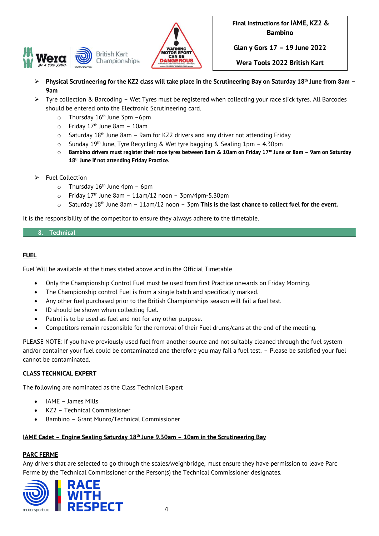



**Glan y Gors 17 – 19 June 2022**

**Wera Tools 2022 British Kart Championship**

- ➢ **Physical Scrutineering for the KZ2 class will take place in the Scrutineering Bay on Saturday 18th June from 8am – 9am**
- ➢ Tyre collection & Barcoding Wet Tyres must be registered when collecting your race slick tyres. All Barcodes should be entered onto the Electronic Scrutineering card.
	- $\circ$  Thursday 16<sup>th</sup> June 3pm –6pm
	- $\circ$  Friday 17<sup>th</sup> June 8am 10am
	- $\circ$  Saturday 18<sup>th</sup> June 8am 9am for KZ2 drivers and any driver not attending Friday
	- $\circ$  Sunday 19<sup>th</sup> June, Tyre Recycling & Wet tyre bagging & Sealing 1pm 4.30pm
	- o **Bambino drivers must register their race tyres between 8am & 10am on Friday 17th June or 8am – 9am on Saturday 18th June if not attending Friday Practice.**
- ➢ Fuel Collection
	- $\circ$  Thursday 16<sup>th</sup> June 4pm 6pm
	- $\circ$  Friday 17<sup>th</sup> June 8am 11am/12 noon 3pm/4pm-5.30pm
	- $\circ$  Saturday 18<sup>th</sup> June 8am 11am/12 noon 3pm **This is the last chance to collect fuel for the event.**

It is the responsibility of the competitor to ensure they always adhere to the timetable.

#### **8. Technical**

### **FUEL**

Fuel Will be available at the times stated above and in the Official Timetable

- Only the Championship Control Fuel must be used from first Practice onwards on Friday Morning.
- The Championship control Fuel is from a single batch and specifically marked.
- Any other fuel purchased prior to the British Championships season will fail a fuel test.
- ID should be shown when collecting fuel.
- Petrol is to be used as fuel and not for any other purpose.
- Competitors remain responsible for the removal of their Fuel drums/cans at the end of the meeting.

PLEASE NOTE: If you have previously used fuel from another source and not suitably cleaned through the fuel system and/or container your fuel could be contaminated and therefore you may fail a fuel test. – Please be satisfied your fuel cannot be contaminated.

#### **CLASS TECHNICAL EXPERT**

The following are nominated as the Class Technical Expert

- IAME James Mills
- KZ2 Technical Commissioner
- Bambino Grant Munro/Technical Commissioner

# **IAME Cadet – Engine Sealing Saturday 18th June 9.30am – 10am in the Scrutineering Bay**

# **PARC FERME**

Any drivers that are selected to go through the scales/weighbridge, must ensure they have permission to leave Parc Ferme by the Technical Commissioner or the Person(s) the Technical Commissioner designates.

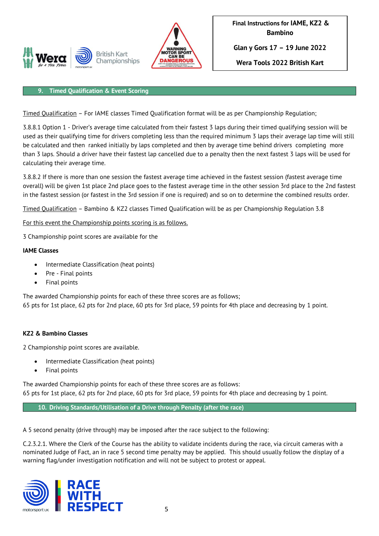



**Glan y Gors 17 – 19 June 2022**

**Wera Tools 2022 British Kart Championship**

#### **9. Timed Qualification & Event Scoring**

Timed Qualification – For IAME classes Timed Qualification format will be as per Championship Regulation;

3.8.8.1 Option 1 - Driver's average time calculated from their fastest 3 laps during their timed qualifying session will be used as their qualifying time for drivers completing less than the required minimum 3 laps their average lap time will still be calculated and then ranked initially by laps completed and then by average time behind drivers completing more than 3 laps. Should a driver have their fastest lap cancelled due to a penalty then the next fastest 3 laps will be used for calculating their average time.

3.8.8.2 If there is more than one session the fastest average time achieved in the fastest session (fastest average time overall) will be given 1st place 2nd place goes to the fastest average time in the other session 3rd place to the 2nd fastest in the fastest session (or fastest in the 3rd session if one is required) and so on to determine the combined results order.

Timed Qualification – Bambino & KZ2 classes Timed Qualification will be as per Championship Regulation 3.8

For this event the Championship points scoring is as follows.

3 Championship point scores are available for the

### **IAME Classes**

- Intermediate Classification (heat points)
- Pre Final points
- Final points

The awarded Championship points for each of these three scores are as follows; 65 pts for 1st place, 62 pts for 2nd place, 60 pts for 3rd place, 59 points for 4th place and decreasing by 1 point.

## **KZ2 & Bambino Classes**

2 Championship point scores are available.

- Intermediate Classification (heat points)
- Final points

The awarded Championship points for each of these three scores are as follows: 65 pts for 1st place, 62 pts for 2nd place, 60 pts for 3rd place, 59 points for 4th place and decreasing by 1 point.

**10. Driving Standards/Utilisation of a Drive through Penalty (after the race)**

A 5 second penalty (drive through) may be imposed after the race subject to the following:

C.2.3.2.1. Where the Clerk of the Course has the ability to validate incidents during the race, via circuit cameras with a nominated Judge of Fact, an in race 5 second time penalty may be applied. This should usually follow the display of a warning flag/under investigation notification and will not be subject to protest or appeal.

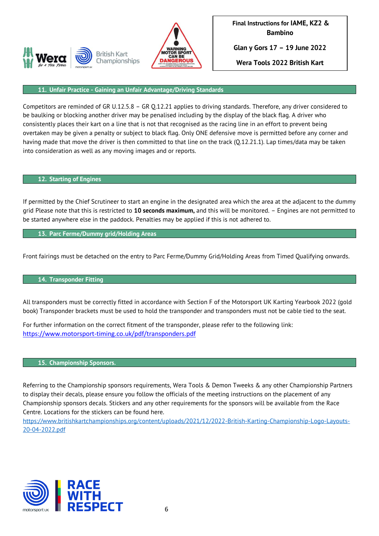



**Glan y Gors 17 – 19 June 2022**

**Wera Tools 2022 British Kart Championship**

### **11. Unfair Practice - Gaining an Unfair Advantage/Driving Standards**

Competitors are reminded of GR U.12.5.8 – GR Q.12.21 applies to driving standards. Therefore, any driver considered to be baulking or blocking another driver may be penalised including by the display of the black flag. A driver who consistently places their kart on a line that is not that recognised as the racing line in an effort to prevent being overtaken may be given a penalty or subject to black flag. Only ONE defensive move is permitted before any corner and having made that move the driver is then committed to that line on the track (Q.12.21.1). Lap times/data may be taken into consideration as well as any moving images and or reports.

#### **12. Starting of Engines**

If permitted by the Chief Scrutineer to start an engine in the designated area which the area at the adjacent to the dummy grid Please note that this is restricted to **10 seconds maximum,** and this will be monitored. – Engines are not permitted to be started anywhere else in the paddock. Penalties may be applied if this is not adhered to.

**13. Parc Ferme/Dummy grid/Holding Areas**

Front fairings must be detached on the entry to Parc Ferme/Dummy Grid/Holding Areas from Timed Qualifying onwards.

#### **14. Transponder Fitting**

All transponders must be correctly fitted in accordance with Section F of the Motorsport UK Karting Yearbook 2022 (gold book) Transponder brackets must be used to hold the transponder and transponders must not be cable tied to the seat.

For further information on the correct fitment of the transponder, please refer to the following link: [https://www.motorsport-timing.co.uk/pdf/transponders.pdf](https://eur02.safelinks.protection.outlook.com/?url=https%3A%2F%2Fwww.motorsport-timing.co.uk%2Fpdf%2Ftransponders.pdf&data=02%7C01%7CDanielle.Short%40motorsportuk.org%7Cf824c2c6ec81463934b208d83c79a4ed%7C63a2da0237564d81baedec1930321ea4%7C0%7C0%7C637325840448998301&sdata=t%2FIG9JROWeWLxc2BhD0fFm00ya8lB2X1hEV1Xvm9d%2FU%3D&reserved=0)

#### **15. Championship Sponsors.**

Referring to the Championship sponsors requirements, Wera Tools & Demon Tweeks & any other Championship Partners to display their decals, please ensure you follow the officials of the meeting instructions on the placement of any Championship sponsors decals. Stickers and any other requirements for the sponsors will be available from the Race Centre. Locations for the stickers can be found here.

[https://www.britishkartchampionships.org/content/uploads/2021/12/2022-British-Karting-Championship-Logo-Layouts-](https://www.britishkartchampionships.org/content/uploads/2021/12/2022-British-Karting-Championship-Logo-Layouts-20-04-2022.pdf)[20-04-2022.pdf](https://www.britishkartchampionships.org/content/uploads/2021/12/2022-British-Karting-Championship-Logo-Layouts-20-04-2022.pdf)

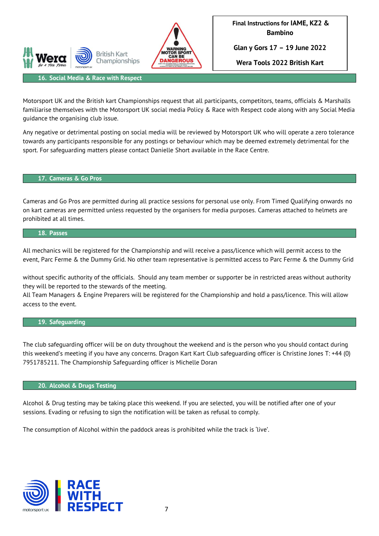



**Glan y Gors 17 – 19 June 2022**

**Wera Tools 2022 British Kart Championship**

**16. Social Media & Race with Respect**

Motorsport UK and the British kart Championships request that all participants, competitors, teams, officials & Marshalls familiarise themselves with the Motorsport UK social media Policy & Race with Respect code along with any Social Media guidance the organising club issue.

Any negative or detrimental posting on social media will be reviewed by Motorsport UK who will operate a zero tolerance towards any participants responsible for any postings or behaviour which may be deemed extremely detrimental for the sport. For safeguarding matters please contact Danielle Short available in the Race Centre.

#### **17. Cameras & Go Pros**

Cameras and Go Pros are permitted during all practice sessions for personal use only. From Timed Qualifying onwards no on kart cameras are permitted unless requested by the organisers for media purposes. Cameras attached to helmets are prohibited at all times.

**18. Passes**

All mechanics will be registered for the Championship and will receive a pass/licence which will permit access to the event, Parc Ferme & the Dummy Grid. No other team representative is permitted access to Parc Ferme & the Dummy Grid

without specific authority of the officials. Should any team member or supporter be in restricted areas without authority they will be reported to the stewards of the meeting.

All Team Managers & Engine Preparers will be registered for the Championship and hold a pass/licence. This will allow access to the event.

#### **19. Safeguarding**

The club safeguarding officer will be on duty throughout the weekend and is the person who you should contact during this weekend's meeting if you have any concerns. Dragon Kart Kart Club safeguarding officer is Christine Jones T: +44 (0) 7951785211. The Championship Safeguarding officer is Michelle Doran

#### **20. Alcohol & Drugs Testing**

Alcohol & Drug testing may be taking place this weekend. If you are selected, you will be notified after one of your sessions. Evading or refusing to sign the notification will be taken as refusal to comply.

The consumption of Alcohol within the paddock areas is prohibited while the track is 'live'.